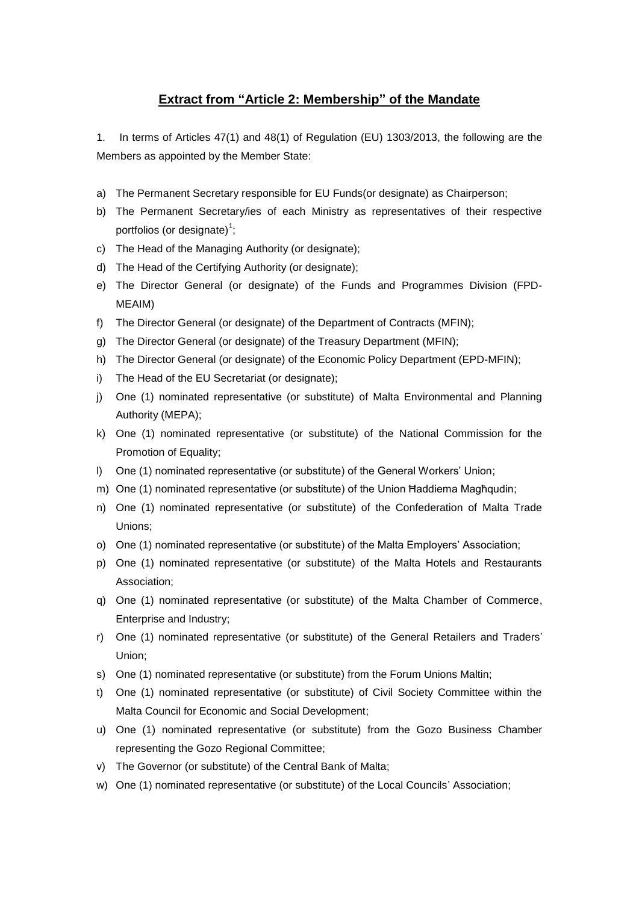## **Extract from "Article 2: Membership" of the Mandate**

1. In terms of Articles 47(1) and 48(1) of Regulation (EU) 1303/2013, the following are the Members as appointed by the Member State:

- a) The Permanent Secretary responsible for EU Funds(or designate) as Chairperson;
- b) The Permanent Secretary/ies of each Ministry as representatives of their respective portfolios (or designate) $1$ ;
- c) The Head of the Managing Authority (or designate);
- d) The Head of the Certifying Authority (or designate);
- e) The Director General (or designate) of the Funds and Programmes Division (FPD-MEAIM)
- f) The Director General (or designate) of the Department of Contracts (MFIN);
- g) The Director General (or designate) of the Treasury Department (MFIN);
- h) The Director General (or designate) of the Economic Policy Department (EPD-MFIN);
- i) The Head of the EU Secretariat (or designate);
- j) One (1) nominated representative (or substitute) of Malta Environmental and Planning Authority (MEPA);
- k) One (1) nominated representative (or substitute) of the National Commission for the Promotion of Equality;
- l) One (1) nominated representative (or substitute) of the General Workers' Union;
- m) One (1) nominated representative (or substitute) of the Union Ħaddiema Magħqudin;
- n) One (1) nominated representative (or substitute) of the Confederation of Malta Trade Unions;
- o) One (1) nominated representative (or substitute) of the Malta Employers' Association;
- p) One (1) nominated representative (or substitute) of the Malta Hotels and Restaurants Association;
- q) One (1) nominated representative (or substitute) of the Malta Chamber of Commerce, Enterprise and Industry;
- r) One (1) nominated representative (or substitute) of the General Retailers and Traders' Union;
- s) One (1) nominated representative (or substitute) from the Forum Unions Maltin;
- t) One (1) nominated representative (or substitute) of Civil Society Committee within the Malta Council for Economic and Social Development;
- u) One (1) nominated representative (or substitute) from the Gozo Business Chamber representing the Gozo Regional Committee;
- v) The Governor (or substitute) of the Central Bank of Malta;
- w) One (1) nominated representative (or substitute) of the Local Councils' Association;